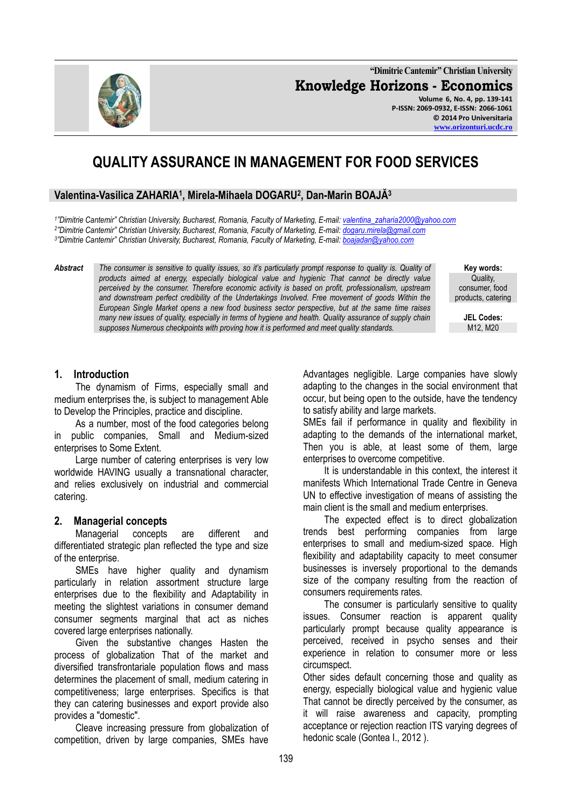**"Dimitrie Cantemir" Christian University Knowledge Horizons - Economics Volume 6, No. 4, pp. 139-141 P-ISSN: 2069-0932, E-ISSN: 2066-1061**

**© 2014 Pro Universitaria [www.orizonturi.ucdc.ro](http://www.orizonturi.ucdc.ro/)**

# **QUALITY ASSURANCE IN MANAGEMENT FOR FOOD SERVICES**

## **Valentina-Vasilica ZAHARIA<sup>1</sup> , Mirela-Mihaela DOGARU<sup>2</sup> , Dan-Marin BOAJĂ<sup>3</sup>**

*1 "Dimitrie Cantemir" Christian University, Bucharest, Romania, Faculty of Marketing, E-mail: [valentina\\_zaharia2000@yahoo.com](mailto:valentina_zaharia2000@yahoo.com) 2 "Dimitrie Cantemir" Christian University, Bucharest, Romania, Faculty of Marketing, E-mail: [dogaru.mirela@gmail.com](mailto:dogaru.mirela@gmail.com) 3 "Dimitrie Cantemir" Christian University, Bucharest, Romania, Faculty of Marketing, E-mail: [boajadan@yahoo.com](mailto:boajadan@yahoo.com)*

*Abstract The consumer is sensitive to quality issues, so it's particularly prompt response to quality is. Quality of products aimed at energy, especially biological value and hygienic That cannot be directly value perceived by the consumer. Therefore economic activity is based on profit, professionalism, upstream and downstream perfect credibility of the Undertakings Involved. Free movement of goods Within the European Single Market opens a new food business sector perspective, but at the same time raises many new issues of quality, especially in terms of hygiene and health. Quality assurance of supply chain supposes Numerous checkpoints with proving how it is performed and meet quality standards.*

## **1. Introduction**

The dynamism of Firms, especially small and medium enterprises the, is subject to management Able to Develop the Principles, practice and discipline.

As a number, most of the food categories belong in public companies, Small and Medium-sized enterprises to Some Extent.

Large number of catering enterprises is very low worldwide HAVING usually a transnational character, and relies exclusively on industrial and commercial catering.

#### **2. Managerial concepts**

Managerial concepts are different and differentiated strategic plan reflected the type and size of the enterprise.

SMEs have higher quality and dynamism particularly in relation assortment structure large enterprises due to the flexibility and Adaptability in meeting the slightest variations in consumer demand consumer segments marginal that act as niches covered large enterprises nationally.

Given the substantive changes Hasten the process of globalization That of the market and diversified transfrontariale population flows and mass determines the placement of small, medium catering in competitiveness; large enterprises. Specifics is that they can catering businesses and export provide also provides a "domestic".

Cleave increasing pressure from globalization of competition, driven by large companies, SMEs have

Advantages negligible. Large companies have slowly adapting to the changes in the social environment that occur, but being open to the outside, have the tendency to satisfy ability and large markets.

SMEs fail if performance in quality and flexibility in adapting to the demands of the international market, Then you is able, at least some of them, large enterprises to overcome competitive.

It is understandable in this context, the interest it manifests Which International Trade Centre in Geneva UN to effective investigation of means of assisting the main client is the small and medium enterprises.

The expected effect is to direct globalization trends best performing companies from large enterprises to small and medium-sized space. High flexibility and adaptability capacity to meet consumer businesses is inversely proportional to the demands size of the company resulting from the reaction of consumers requirements rates.

The consumer is particularly sensitive to quality issues. Consumer reaction is apparent quality particularly prompt because quality appearance is perceived, received in psycho senses and their experience in relation to consumer more or less circumspect.

Other sides default concerning those and quality as energy, especially biological value and hygienic value That cannot be directly perceived by the consumer, as it will raise awareness and capacity, prompting acceptance or rejection reaction ITS varying degrees of hedonic scale (Gontea I., 2012 ).

**Key words:** Quality, consumer, food products, catering

> **JEL Codes:** M12, M20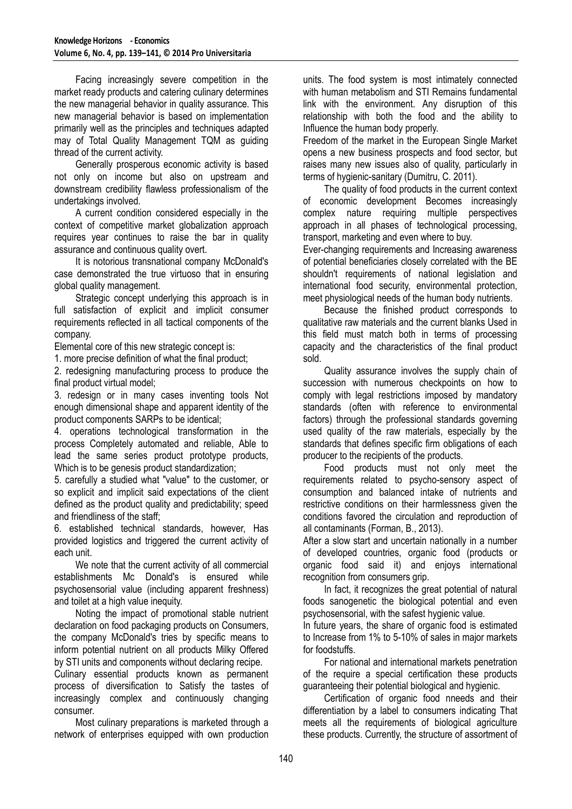Facing increasingly severe competition in the market ready products and catering culinary determines the new managerial behavior in quality assurance. This new managerial behavior is based on implementation primarily well as the principles and techniques adapted may of Total Quality Management TQM as guiding thread of the current activity.

Generally prosperous economic activity is based not only on income but also on upstream and downstream credibility flawless professionalism of the undertakings involved.

A current condition considered especially in the context of competitive market globalization approach requires year continues to raise the bar in quality assurance and continuous quality overt.

It is notorious transnational company McDonald's case demonstrated the true virtuoso that in ensuring global quality management.

Strategic concept underlying this approach is in full satisfaction of explicit and implicit consumer requirements reflected in all tactical components of the company.

Elemental core of this new strategic concept is:

1. more precise definition of what the final product;

2. redesigning manufacturing process to produce the final product virtual model;

3. redesign or in many cases inventing tools Not enough dimensional shape and apparent identity of the product components SARPs to be identical;

4. operations technological transformation in the process Completely automated and reliable, Able to lead the same series product prototype products, Which is to be genesis product standardization;

5. carefully a studied what "value" to the customer, or so explicit and implicit said expectations of the client defined as the product quality and predictability; speed and friendliness of the staff;

6. established technical standards, however, Has provided logistics and triggered the current activity of each unit.

We note that the current activity of all commercial establishments Mc Donald's is ensured while psychosensorial value (including apparent freshness) and toilet at a high value inequity.

Noting the impact of promotional stable nutrient declaration on food packaging products on Consumers, the company McDonald's tries by specific means to inform potential nutrient on all products Milky Offered by STI units and components without declaring recipe.

Culinary essential products known as permanent process of diversification to Satisfy the tastes of increasingly complex and continuously changing consumer.

Most culinary preparations is marketed through a network of enterprises equipped with own production units. The food system is most intimately connected with human metabolism and STI Remains fundamental link with the environment. Any disruption of this relationship with both the food and the ability to Influence the human body properly.

Freedom of the market in the European Single Market opens a new business prospects and food sector, but raises many new issues also of quality, particularly in terms of hygienic-sanitary (Dumitru, C. 2011).

The quality of food products in the current context of economic development Becomes increasingly complex nature requiring multiple perspectives approach in all phases of technological processing, transport, marketing and even where to buy.

Ever-changing requirements and Increasing awareness of potential beneficiaries closely correlated with the BE shouldn't requirements of national legislation and international food security, environmental protection, meet physiological needs of the human body nutrients.

Because the finished product corresponds to qualitative raw materials and the current blanks Used in this field must match both in terms of processing capacity and the characteristics of the final product sold.

Quality assurance involves the supply chain of succession with numerous checkpoints on how to comply with legal restrictions imposed by mandatory standards (often with reference to environmental factors) through the professional standards governing used quality of the raw materials, especially by the standards that defines specific firm obligations of each producer to the recipients of the products.

Food products must not only meet the requirements related to psycho-sensory aspect of consumption and balanced intake of nutrients and restrictive conditions on their harmlessness given the conditions favored the circulation and reproduction of all contaminants (Forman, B., 2013).

After a slow start and uncertain nationally in a number of developed countries, organic food (products or organic food said it) and enjoys international recognition from consumers grip.

In fact, it recognizes the great potential of natural foods sanogenetic the biological potential and even psychosensorial, with the safest hygienic value.

In future years, the share of organic food is estimated to Increase from 1% to 5-10% of sales in major markets for foodstuffs.

For national and international markets penetration of the require a special certification these products guaranteeing their potential biological and hygienic.

Certification of organic food nneeds and their differentiation by a label to consumers indicating That meets all the requirements of biological agriculture these products. Currently, the structure of assortment of